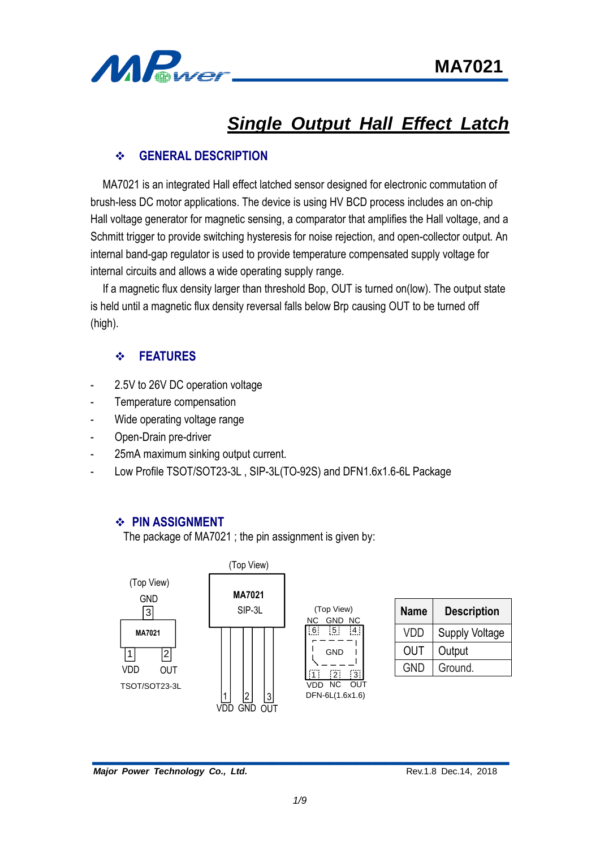

# *Single Output Hall Effect Latch*

## **GENERAL DESCRIPTION**

MA7021 is an integrated Hall effect latched sensor designed for electronic commutation of brush-less DC motor applications. The device is using HV BCD process includes an on-chip Hall voltage generator for magnetic sensing, a comparator that amplifies the Hall voltage, and a Schmitt trigger to provide switching hysteresis for noise rejection, and open-collector output. An internal band-gap regulator is used to provide temperature compensated supply voltage for internal circuits and allows a wide operating supply range.

If a magnetic flux density larger than threshold Bop, OUT is turned on(low). The output state is held until a magnetic flux density reversal falls below Brp causing OUT to be turned off (high).

## **FEATURES**

- 2.5V to 26V DC operation voltage
- Temperature compensation
- Wide operating voltage range
- Open-Drain pre-driver
- 25mA maximum sinking output current.
- Low Profile TSOT/SOT23-3L , SIP-3L(TO-92S) and DFN1.6x1.6-6L Package

#### **PIN ASSIGNMENT**

The package of MA7021 ; the pin assignment is given by:



| <b>Name</b> | <b>Description</b>    |
|-------------|-----------------------|
| VDD         | <b>Supply Voltage</b> |
| <b>OUT</b>  | Output                |
| <b>GND</b>  | Ground.               |

**Major Power Technology Co., Ltd. Rev.1.8 Dec.14, 2018** Rev.1.8 Dec.14, 2018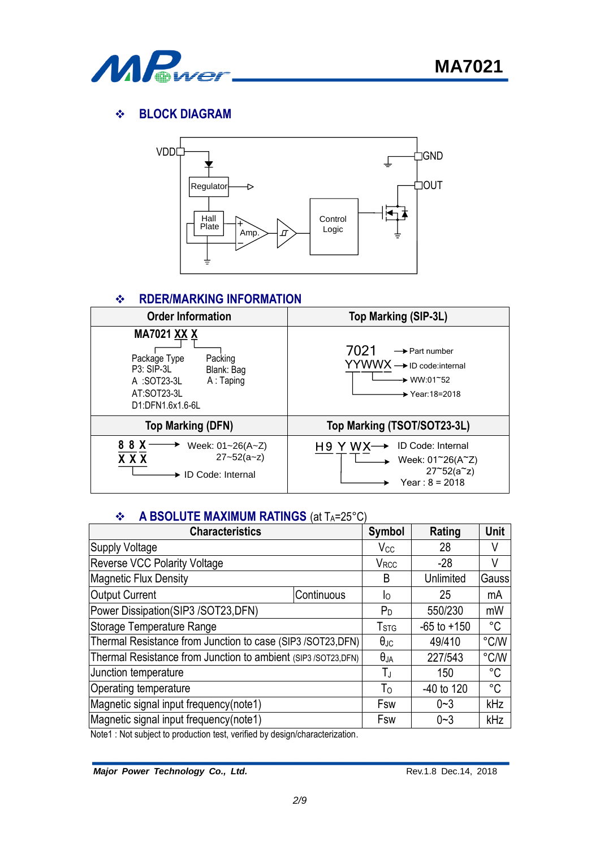

## **BLOCK DIAGRAM**



## $\div$  RDER/MARKING INFORMATION



#### **A BSOLUTE MAXIMUM RATINGS** (at T<sub>A</sub>=25°C)

| <b>Characteristics</b>                 |                                                                                                                           |                                                                     |                                                               |  |  |
|----------------------------------------|---------------------------------------------------------------------------------------------------------------------------|---------------------------------------------------------------------|---------------------------------------------------------------|--|--|
|                                        | $V_{\rm CC}$                                                                                                              | 28                                                                  | V                                                             |  |  |
|                                        | <b>V</b> <sub>RCC</sub>                                                                                                   | $-28$                                                               | V                                                             |  |  |
|                                        | B                                                                                                                         | Unlimited                                                           | Gauss                                                         |  |  |
| Continuous                             | I٥                                                                                                                        | 25                                                                  | mA                                                            |  |  |
| Power Dissipation(SIP3 /SOT23,DFN)     |                                                                                                                           |                                                                     |                                                               |  |  |
| Storage Temperature Range              |                                                                                                                           |                                                                     |                                                               |  |  |
|                                        | $\theta_{\text{JC}}$                                                                                                      | 49/410                                                              | °C/W                                                          |  |  |
|                                        | $\theta_{JA}$                                                                                                             | 227/543                                                             | °C/W                                                          |  |  |
|                                        | ΤJ                                                                                                                        | 150                                                                 | $^{\circ}C$                                                   |  |  |
| Operating temperature                  |                                                                                                                           |                                                                     |                                                               |  |  |
| Magnetic signal input frequency(note1) |                                                                                                                           |                                                                     |                                                               |  |  |
|                                        | Fsw                                                                                                                       | $0 - 3$                                                             | kHz                                                           |  |  |
|                                        | Thermal Resistance from Junction to case (SIP3/SOT23,DFN)<br>Thermal Resistance from Junction to ambient (SIP3/SOT23,DFN) | <b>Symbol</b><br>$P_D$<br>T <sub>STG</sub><br>T <sub>o</sub><br>Fsw | Rating<br>550/230<br>$-65$ to $+150$<br>-40 to 120<br>$0 - 3$ |  |  |

Note1 : Not subject to production test, verified by design/characterization.

*Major Power Technology Co., Ltd.* **Rev.1.8 Dec.14, 2018**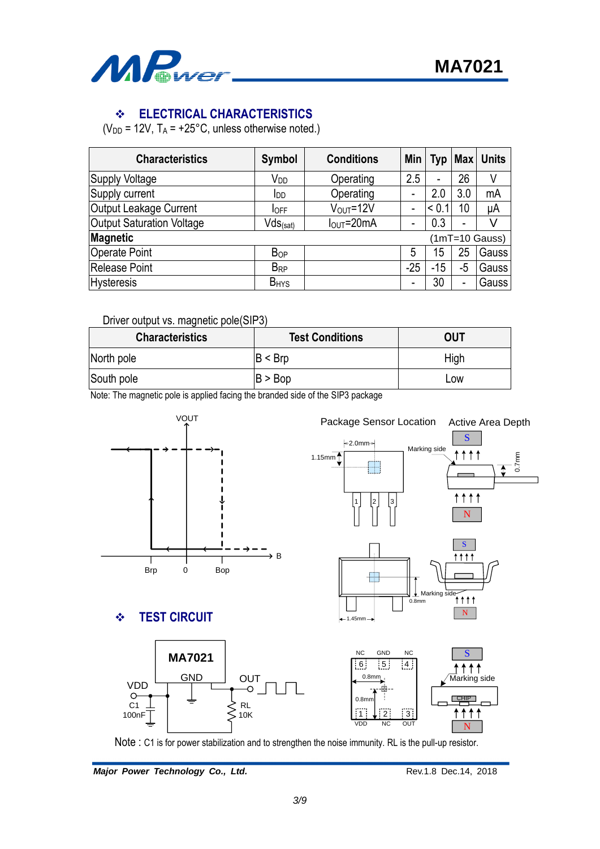

## **ELECTRICAL CHARACTERISTICS**

( $V_{DD}$  = 12V,  $T_A$  = +25°C, unless otherwise noted.)

| <b>Characteristics</b>           | <b>Symbol</b>           | <b>Conditions</b>               | Min   | Typ   | Max <sub>l</sub> | <b>Units</b>     |
|----------------------------------|-------------------------|---------------------------------|-------|-------|------------------|------------------|
| <b>Supply Voltage</b>            | V <sub>DD</sub>         | Operating                       | 2.5   | -     | 26               | V                |
| Supply current                   | IDD                     | Operating                       | -     | 2.0   | 3.0              | mA               |
| Output Leakage Current           | <b>IOFF</b>             | $V_{OUT} = 12V$                 | ۰     | < 0.  | 10               | μA               |
| <b>Output Saturation Voltage</b> | $Vds_{\text{(sat)}}$    | $I_{\text{OUT}} = 20 \text{mA}$ | -     | 0.3   | -                | V                |
| <b>Magnetic</b>                  |                         |                                 |       |       |                  | $(1mT=10$ Gauss) |
| <b>Operate Point</b>             | <b>B</b> <sub>OP</sub>  |                                 | 5     | 15    | 25               | Gauss            |
| Release Point                    | <b>B</b> <sub>RP</sub>  |                                 | $-25$ | $-15$ | -5               | Gauss            |
| <b>Hysteresis</b>                | <b>B</b> <sub>HYS</sub> |                                 | ۰     | 30    | ۰                | Gauss            |

Driver output vs. magnetic pole(SIP3)

| <b>Characteristics</b> | <b>Test Conditions</b> | OUT  |
|------------------------|------------------------|------|
| North pole             | B < Brp                | High |
| South pole             | B > Bop                | Low  |

Note: The magnetic pole is applied facing the branded side of the SIP3 package





Major Power Technology Co., Ltd. **Rev.1.8 Dec.14, 2018** Rev.1.8 Dec.14, 2018

N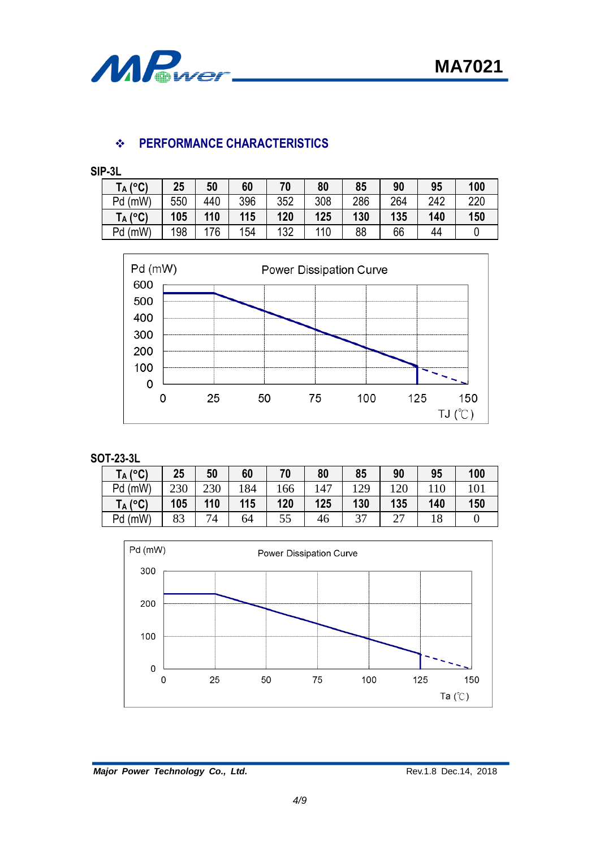

## **PERFORMANCE CHARACTERISTICS**

**SIP-3L**

| $(^{\circ}C)$<br>$\mathsf{T}_\mathsf{A}$ ( | 25  | 50  | 60  | 70  | 80  | 85  | 90  | 95  | 100 |
|--------------------------------------------|-----|-----|-----|-----|-----|-----|-----|-----|-----|
| Pd (mW)                                    | 550 | 440 | 396 | 352 | 308 | 286 | 264 | 242 | 220 |
| $T_A (°C)$                                 | 105 | 110 | 115 | 120 | 125 | 130 | 135 | 140 | 150 |
| Pd (mW)                                    | 198 | 176 | 154 | 132 | 110 | 88  | 66  | 44  |     |



#### **SOT-23-3L**

| $T_A$ (°C) | 25  | 50  | 60  | 70  | 80  | 85  | 90                                   | 95  | 100 |
|------------|-----|-----|-----|-----|-----|-----|--------------------------------------|-----|-----|
| Pd (mW)    | 230 | 230 | .84 | 66  | 147 | 129 | 120                                  | 110 |     |
| $T_A$ (°C) | 105 | 110 | 115 | 120 | 125 | 130 | 135                                  | 140 | 150 |
| Pd (mW)    | 83  | 74  | 64  | 55  | 46  | 37  | $\sim$<br>$\overline{\phantom{a}}$ . | 18  |     |



Major Power Technology Co., Ltd. **Rev.1.8 Dec.14, 2018** Rev.1.8 Dec.14, 2018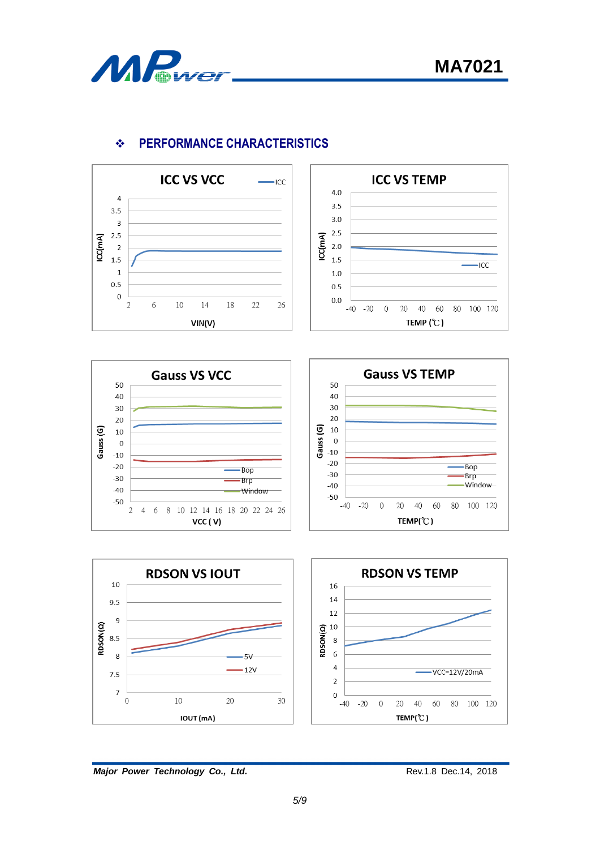



# **PERFORMANCE CHARACTERISTICS**











*Major Power Technology Co., Ltd.* **Rev.1.8 Dec.14, 2018** Rev.1.8 Dec.14, 2018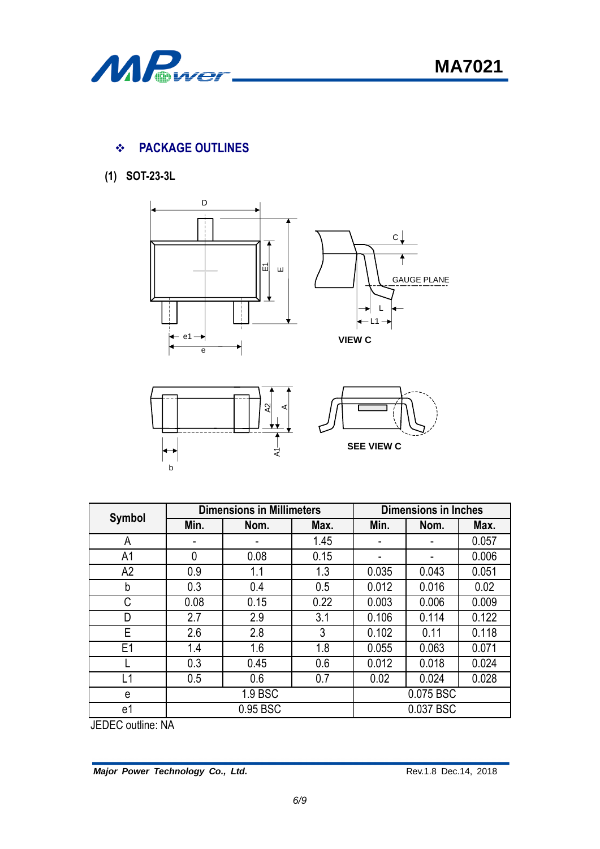

# **PACKAGE OUTLINES**

**(1) SOT-23-3L**







**SEE VIEW C**

|                |          | <b>Dimensions in Millimeters</b> | <b>Dimensions in Inches</b> |       |           |       |
|----------------|----------|----------------------------------|-----------------------------|-------|-----------|-------|
| <b>Symbol</b>  | Min.     | Nom.                             | Max.                        | Min.  | Nom.      | Max.  |
| A              |          |                                  | 1.45                        |       |           | 0.057 |
| A1             | $\theta$ | 0.08                             | 0.15                        |       |           | 0.006 |
| A2             | 0.9      | 1.1                              | 1.3                         | 0.035 | 0.043     | 0.051 |
| b              | 0.3      | 0.4                              | 0.5                         | 0.012 | 0.016     | 0.02  |
| C              | 0.08     | 0.15                             | 0.22                        | 0.003 | 0.006     | 0.009 |
| D              | 2.7      | 2.9                              | 3.1                         | 0.106 | 0.114     | 0.122 |
| Е              | 2.6      | 2.8                              | 3                           | 0.102 | 0.11      | 0.118 |
| E <sub>1</sub> | 1.4      | 1.6                              | 1.8                         | 0.055 | 0.063     | 0.071 |
|                | 0.3      | 0.45                             | 0.6                         | 0.012 | 0.018     | 0.024 |
| L1             | 0.5      | 0.6                              | 0.7                         | 0.02  | 0.024     | 0.028 |
| e              | 1.9 BSC  |                                  |                             |       | 0.075 BSC |       |
| e1             |          | 0.95 BSC                         |                             |       | 0.037 BSC |       |

JEDEC outline: NA

**Major Power Technology Co., Ltd. Rev.1.8 Dec.14, 2018**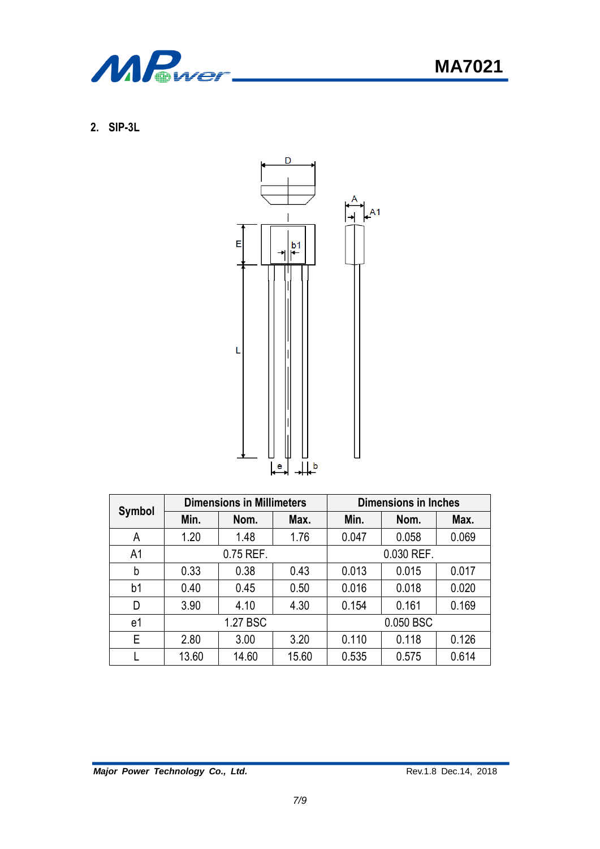

**MA7021**

**2. SIP-3L**



| Symbol         |       | <b>Dimensions in Millimeters</b> |       | <b>Dimensions in Inches</b> |           |       |  |
|----------------|-------|----------------------------------|-------|-----------------------------|-----------|-------|--|
|                | Min.  | Nom.                             | Max.  | Min.                        | Nom.      | Max.  |  |
| A              | 1.20  | 1.48                             | 1.76  | 0.047                       | 0.058     | 0.069 |  |
| A <sub>1</sub> |       | 0.75 REF.                        |       | 0.030 REF.                  |           |       |  |
| b              | 0.33  | 0.38                             | 0.43  | 0.013                       | 0.015     | 0.017 |  |
| b <sub>1</sub> | 0.40  | 0.45                             | 0.50  | 0.016                       | 0.018     | 0.020 |  |
| D              | 3.90  | 4.10                             | 4.30  | 0.154                       | 0.161     | 0.169 |  |
| e1             |       | 1.27 BSC                         |       |                             | 0.050 BSC |       |  |
| E              | 2.80  | 3.00                             | 3.20  | 0.110                       | 0.118     | 0.126 |  |
|                | 13.60 | 14.60                            | 15.60 | 0.535                       | 0.575     | 0.614 |  |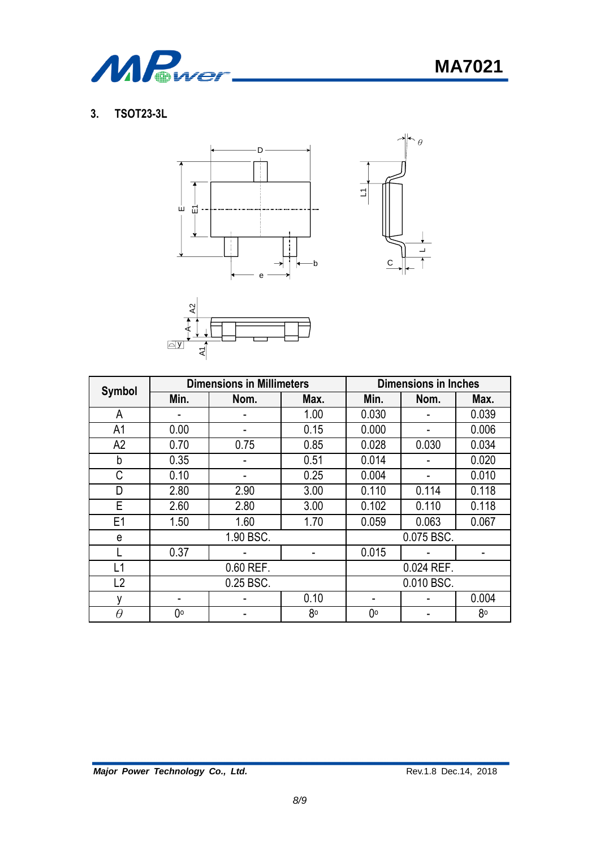

# **3. TSOT23-3L**







|                |           | <b>Dimensions in Millimeters</b> | <b>Dimensions in Inches</b> |            |            |       |
|----------------|-----------|----------------------------------|-----------------------------|------------|------------|-------|
| Symbol         | Min.      | Nom.                             | Max.                        | Min.       | Nom.       | Max.  |
| A              |           |                                  | 1.00                        | 0.030      |            | 0.039 |
| A1             | 0.00      |                                  | 0.15                        | 0.000      |            | 0.006 |
| A2             | 0.70      | 0.75                             | 0.85                        | 0.028      | 0.030      | 0.034 |
| b              | 0.35      |                                  | 0.51                        | 0.014      |            | 0.020 |
| С              | 0.10      |                                  | 0.25                        | 0.004      |            | 0.010 |
| D              | 2.80      | 2.90                             | 3.00                        | 0.110      | 0.114      | 0.118 |
| E              | 2.60      | 2.80                             | 3.00                        | 0.102      | 0.110      | 0.118 |
| E <sub>1</sub> | 1.50      | 1.60                             | 1.70                        | 0.059      | 0.063      | 0.067 |
| e              |           | 1.90 BSC.                        |                             | 0.075 BSC. |            |       |
|                | 0.37      |                                  |                             | 0.015      |            |       |
| L1             | 0.60 REF. |                                  |                             |            | 0.024 REF. |       |
| L <sub>2</sub> | 0.25 BSC. |                                  |                             |            | 0.010 BSC. |       |
| v              |           |                                  | 0.10                        | ۰          |            | 0.004 |
| θ              | 0°        |                                  | 80                          | 0°         |            | 80    |